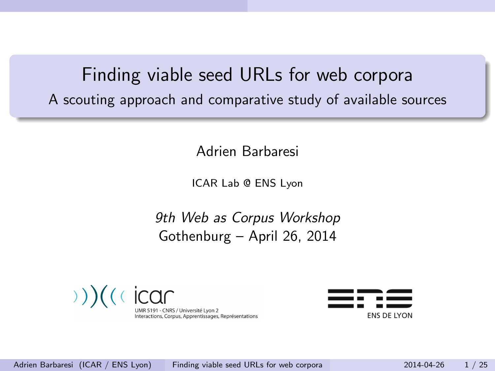# Finding viable seed URLs for web corpora A scouting approach and comparative study of available sources

Adrien Barbaresi

ICAR Lab @ ENS Lyon

9th Web as Corpus Workshop Gothenburg – April 26, 2014



<span id="page-0-0"></span>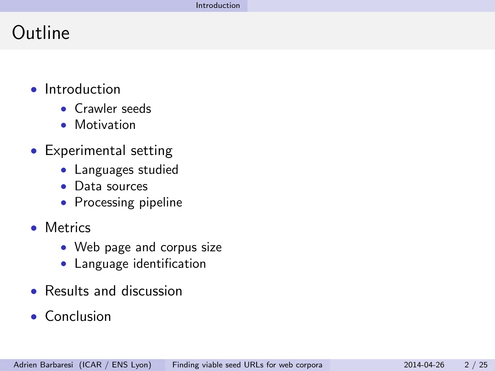# Outline

- Introduction
	- Crawler seeds
	- Motivation
- Experimental setting
	- Languages studied
	- Data sources
	- Processing pipeline
- Metrics
	- Web page and corpus size
	- Language identification
- Results and discussion
- <span id="page-1-0"></span>• Conclusion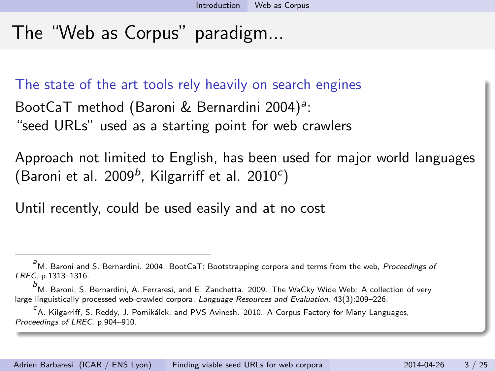# The "Web as Corpus" paradigm...

The state of the art tools rely heavily on search engines

BootCaT method (Baroni & Bernardini 2004)<sup>a</sup>: "seed URLs" used as a starting point for web crawlers

Approach not limited to English, has been used for major world languages (Baroni et al. 2009<sup>b</sup>, Kilgarriff et al. 2010<sup>c</sup>)

Until recently, could be used easily and at no cost

a<br>M. Baroni and S. Bernardini. 2004. BootCaT: Bootstrapping corpora and terms from the web, Proceedings of LREC, p.1313–1316.

 $^b$ M. Baroni, S. Bernardini, A. Ferraresi, and E. Zanchetta. 2009. The WaCky Wide Web: A collection of very large linguistically processed web-crawled corpora, Language Resources and Evaluation, 43(3):209-226.

<span id="page-2-0"></span>c<br><sup>C</sup>A. Kilgarriff, S. Reddy, J. Pomikálek, and PVS Avinesh. 2010. A Corpus Factory for Many Languages, Proceedings of LREC, p.904–910.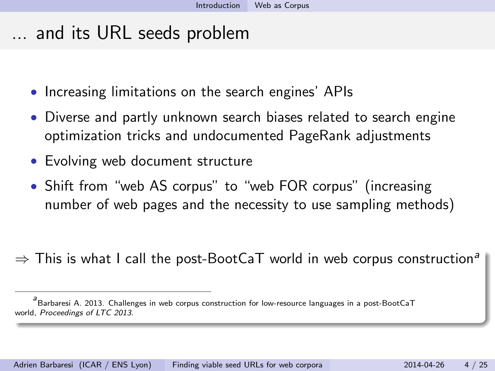... and its URL seeds problem

- Increasing limitations on the search engines' APIs
- Diverse and partly unknown search biases related to search engine optimization tricks and undocumented PageRank adjustments
- Evolving web document structure
- Shift from "web AS corpus" to "web FOR corpus" (increasing number of web pages and the necessity to use sampling methods)
- $\Rightarrow$  This is what I call the post-BootCaT world in web corpus construction<sup>a</sup>

<span id="page-3-0"></span>a<br>Barbaresi A. 2013. Challenges in web corpus construction for low-resource languages in a post-BootCaT world, Proceedings of LTC 2013.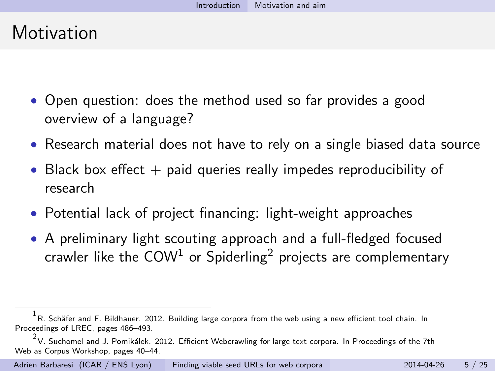### **Motivation**

- Open question: does the method used so far provides a good overview of a language?
- Research material does not have to rely on a single biased data source
- Black box effect  $+$  paid queries really impedes reproducibility of research
- Potential lack of project financing: light-weight approaches
- A preliminary light scouting approach and a full-fledged focused crawler like the  $COM<sup>1</sup>$  or Spiderling<sup>2</sup> projects are complementary

 $^{\rm 1}$ R. Schäfer and F. Bildhauer. 2012. Building large corpora from the web using a new efficient tool chain. In Proceedings of LREC, pages 486–493.

<span id="page-4-0"></span> $^2$ V. Suchomel and J. Pomikálek. 2012. Efficient Webcrawling for large text corpora. In Proceedings of the 7th Web as Corpus Workshop, pages 40–44.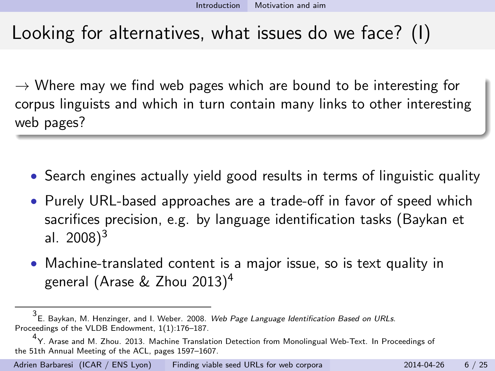# Looking for alternatives, what issues do we face? (I)

 $\rightarrow$  Where may we find web pages which are bound to be interesting for corpus linguists and which in turn contain many links to other interesting web pages?

- Search engines actually yield good results in terms of linguistic quality
- Purely URL-based approaches are a trade-off in favor of speed which sacrifices precision, e.g. by language identification tasks (Baykan et al.  $2008$ <sup>3</sup>
- <span id="page-5-0"></span>• Machine-translated content is a major issue, so is text quality in general (Arase & Zhou 2013)<sup>4</sup>

<sup>3&</sup>lt;br>E. Baykan, M. Henzinger, and I. Weber. 2008. *Web Page Language Identification Based on URLs*. Proceedings of the VLDB Endowment, 1(1):176–187.

<sup>4</sup> Y. Arase and M. Zhou. 2013. Machine Translation Detection from Monolingual Web-Text. In Proceedings of the 51th Annual Meeting of the ACL, pages 1597–1607.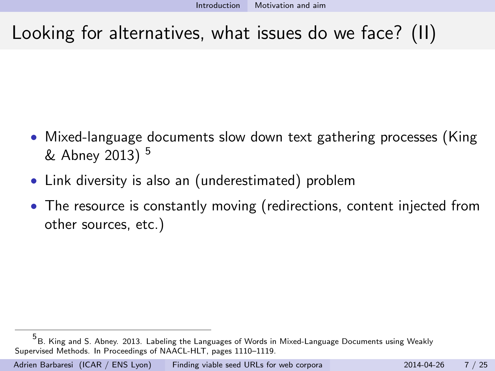# Looking for alternatives, what issues do we face? (II)

- Mixed-language documents slow down text gathering processes (King & Abney 2013) <sup>5</sup>
- Link diversity is also an (underestimated) problem
- The resource is constantly moving (redirections, content injected from other sources, etc.)

<span id="page-6-0"></span><sup>5&</sup>lt;br>B. King and S. Abney. 2013. Labeling the Languages of Words in Mixed-Language Documents using Weakly Supervised Methods. In Proceedings of NAACL-HLT, pages 1110–1119.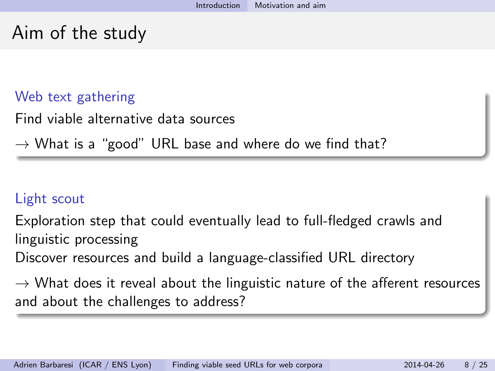### Aim of the study

#### Web text gathering

Find viable alternative data sources

 $\rightarrow$  What is a "good" URL base and where do we find that?

#### Light scout

Exploration step that could eventually lead to full-fledged crawls and linguistic processing

Discover resources and build a language-classified URL directory

<span id="page-7-0"></span> $\rightarrow$  What does it reveal about the linguistic nature of the afferent resources and about the challenges to address?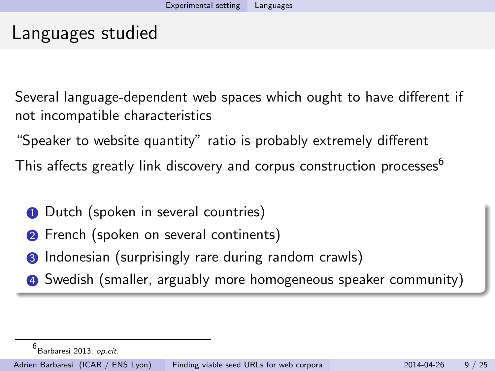### Languages studied

Several language-dependent web spaces which ought to have different if not incompatible characteristics

"Speaker to website quantity" ratio is probably extremely different

This affects greatly link discovery and corpus construction processes<sup>6</sup>

- **1** Dutch (spoken in several countries)
- **2** French (spoken on several continents)
- **3** Indonesian (surprisingly rare during random crawls)
- 4 Swedish (smaller, arguably more homogeneous speaker community)

<span id="page-8-0"></span><sup>6&</sup>lt;br>Barbaresi 2013, *op.cit.*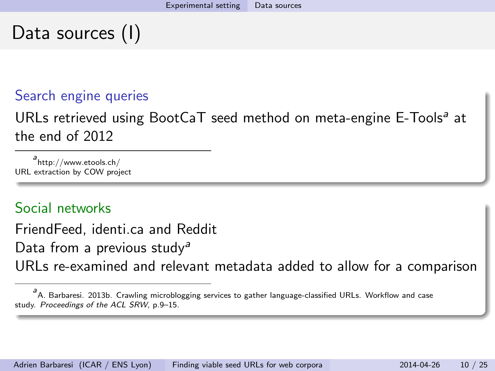# Data sources (I)

#### Search engine queries

URLs retrieved using BootCaT seed method on meta-engine E-Tools<sup>a</sup> at the end of 2012

a<br>http://www.etools.ch/ URL extraction by COW project

#### Social networks

FriendFeed, identi.ca and Reddit

Data from a previous study<sup>a</sup>

URLs re-examined and relevant metadata added to allow for a comparison

<span id="page-9-0"></span>a<br>A. Barbaresi. 2013b. Crawling microblogging services to gather language-classified URLs. Workflow and case study. Proceedings of the ACL SRW, p.9–15.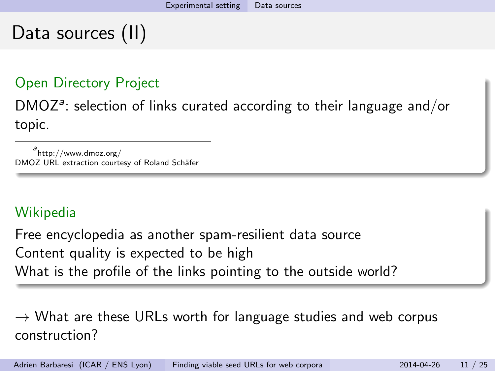### Data sources (II)

#### Open Directory Project

 $DMOZ<sup>a</sup>$ : selection of links curated according to their language and/or topic.

a<br>http://www.dmoz.org/ DMOZ URL extraction courtesy of Roland Schäfer

#### Wikipedia

Free encyclopedia as another spam-resilient data source Content quality is expected to be high What is the profile of the links pointing to the outside world?

<span id="page-10-0"></span> $\rightarrow$  What are these URLs worth for language studies and web corpus construction?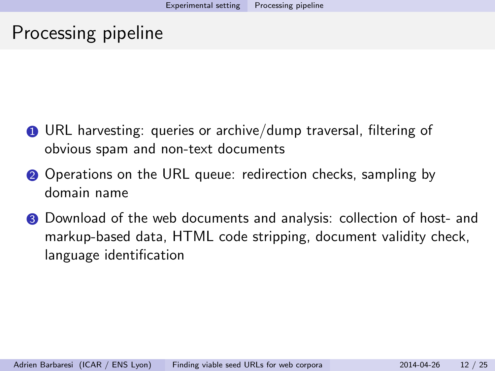### Processing pipeline

- 1 URL harvesting: queries or archive/dump traversal, filtering of obvious spam and non-text documents
- 2 Operations on the URL queue: redirection checks, sampling by domain name
- <span id="page-11-0"></span>**3** Download of the web documents and analysis: collection of host- and markup-based data, HTML code stripping, document validity check, language identification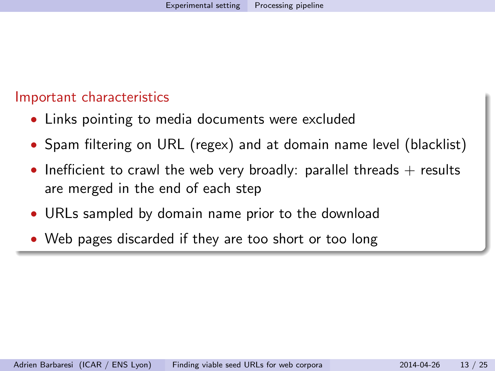#### Important characteristics

- Links pointing to media documents were excluded
- Spam filtering on URL (regex) and at domain name level (blacklist)
- Inefficient to crawl the web very broadly: parallel threads  $+$  results are merged in the end of each step
- URLs sampled by domain name prior to the download
- <span id="page-12-0"></span>• Web pages discarded if they are too short or too long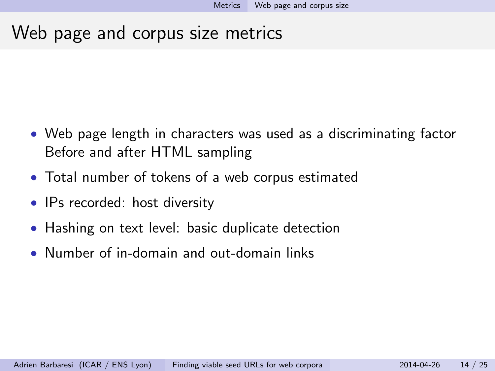### Web page and corpus size metrics

- Web page length in characters was used as a discriminating factor Before and after HTML sampling
- Total number of tokens of a web corpus estimated
- IPs recorded: host diversity
- Hashing on text level: basic duplicate detection
- <span id="page-13-0"></span>• Number of in-domain and out-domain links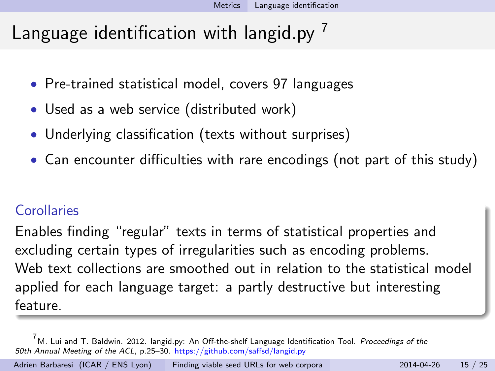# Language identification with langid.pv  $<sup>7</sup>$ </sup>

- Pre-trained statistical model, covers 97 languages
- Used as a web service (distributed work)
- Underlying classification (texts without surprises)
- Can encounter difficulties with rare encodings (not part of this study)

#### **Corollaries**

Enables finding "regular" texts in terms of statistical properties and excluding certain types of irregularities such as encoding problems. Web text collections are smoothed out in relation to the statistical model applied for each language target: a partly destructive but interesting feature.

<span id="page-14-0"></span> $7$ M. Lui and T. Baldwin. 2012. langid.py: An Off-the-shelf Language Identification Tool. Proceedings of the 50th Annual Meeting of the ACL, p.25–30. https://github.com/saffsd/langid.py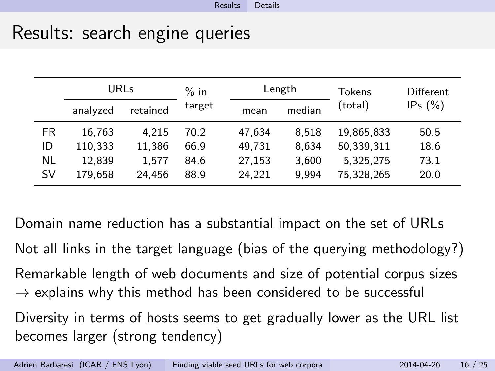### Results: search engine queries

|           | URLs     |          | $%$ in |        | Length | Tokens     | Different  |
|-----------|----------|----------|--------|--------|--------|------------|------------|
|           | analyzed | retained | target | mean   | median | (total)    | IPs $(\%)$ |
| <b>FR</b> | 16.763   | 4.215    | 70.2   | 47.634 | 8.518  | 19.865.833 | 50.5       |
| ID        | 110,333  | 11.386   | 66.9   | 49,731 | 8.634  | 50,339,311 | 18.6       |
| NL        | 12.839   | 1.577    | 84.6   | 27.153 | 3.600  | 5.325.275  | 73.1       |
| SV        | 179,658  | 24.456   | 88.9   | 24.221 | 9.994  | 75.328.265 | 20.0       |

<span id="page-15-0"></span>Domain name reduction has a substantial impact on the set of URLs Not all links in the target language (bias of the querying methodology?) Remarkable length of web documents and size of potential corpus sizes  $\rightarrow$  explains why this method has been considered to be successful Diversity in terms of hosts seems to get gradually lower as the URL list becomes larger (strong tendency)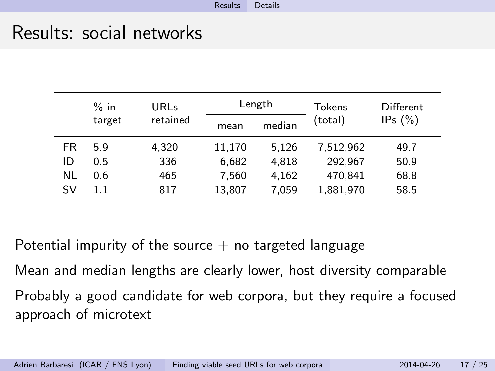### Results: social networks

|    | $%$ in | URLs     |        | Length | Tokens    | Different<br>IPs $(\%)$ |
|----|--------|----------|--------|--------|-----------|-------------------------|
|    | target | retained | mean   | median | (total)   |                         |
| FR | 5.9    | 4.320    | 11,170 | 5.126  | 7.512.962 | 49.7                    |
| ID | 0.5    | 336      | 6.682  | 4.818  | 292.967   | 50.9                    |
| NL | 0.6    | 465      | 7.560  | 4.162  | 470.841   | 68.8                    |
| SV | 1.1    | 817      | 13,807 | 7.059  | 1,881,970 | 58.5                    |

Potential impurity of the source  $+$  no targeted language

Mean and median lengths are clearly lower, host diversity comparable

<span id="page-16-0"></span>Probably a good candidate for web corpora, but they require a focused approach of microtext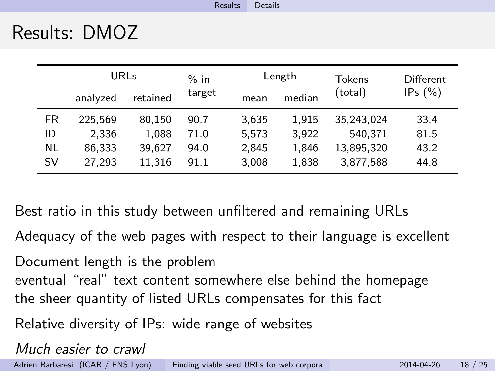### Results: DMOZ

|     | URLs     |          | $%$ in |       | Length | Tokens     | Different  |
|-----|----------|----------|--------|-------|--------|------------|------------|
|     | analyzed | retained | target | mean  | median | (total)    | IPs $(\%)$ |
| FR. | 225.569  | 80,150   | 90.7   | 3.635 | 1.915  | 35,243,024 | 33.4       |
| ID  | 2.336    | 1.088    | 71.0   | 5.573 | 3.922  | 540.371    | 81.5       |
| NL  | 86.333   | 39.627   | 94.0   | 2.845 | 1,846  | 13,895,320 | 43.2       |
| SV  | 27,293   | 11,316   | 91.1   | 3,008 | 1,838  | 3,877,588  | 44.8       |

Best ratio in this study between unfiltered and remaining URLs

Adequacy of the web pages with respect to their language is excellent

Document length is the problem eventual "real" text content somewhere else behind the homepage the sheer quantity of listed URLs compensates for this fact

Relative diversity of IPs: wide range of websites

<span id="page-17-0"></span>Much easier to crawl Adrien Barbaresi (ICAR / ENS Lyon) [Finding viable seed URLs for web corpora](#page-0-0) 2014-04-26 18 / 25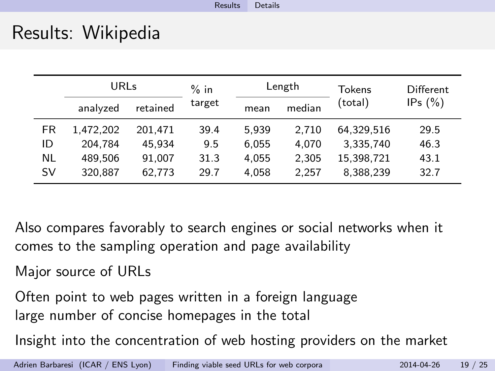### Results: Wikipedia

|    | URLs      |          | $%$ in |       | Length | Tokens     | Different  |
|----|-----------|----------|--------|-------|--------|------------|------------|
|    | analyzed  | retained | target | mean  | median | (total)    | IPs $(\%)$ |
| FR | 1.472.202 | 201.471  | 39.4   | 5.939 | 2.710  | 64.329.516 | 29.5       |
| ID | 204.784   | 45.934   | 9.5    | 6.055 | 4.070  | 3.335.740  | 46.3       |
| NL | 489.506   | 91.007   | 31.3   | 4.055 | 2.305  | 15,398,721 | 43.1       |
| SV | 320,887   | 62,773   | 29.7   | 4.058 | 2.257  | 8,388,239  | 32.7       |

Also compares favorably to search engines or social networks when it comes to the sampling operation and page availability

Major source of URLs

Often point to web pages written in a foreign language large number of concise homepages in the total

<span id="page-18-0"></span>Insight into the concentration of web hosting providers on the market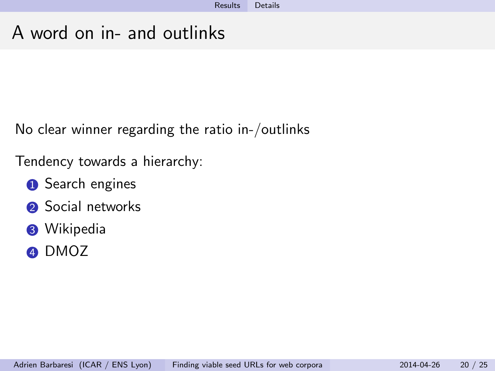# A word on in- and outlinks

No clear winner regarding the ratio in-/outlinks

Tendency towards a hierarchy:

- **1** Search engines
- **2** Social networks
- **8** Wikipedia
- <span id="page-19-0"></span>4 DMOZ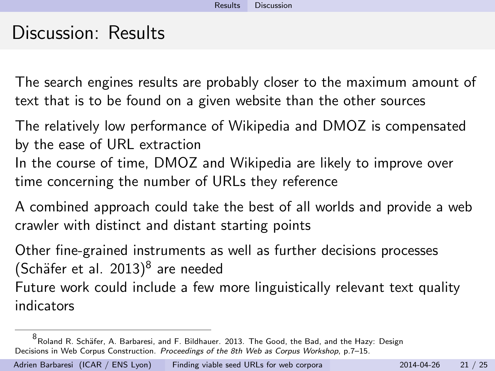### Discussion: Results

The search engines results are probably closer to the maximum amount of text that is to be found on a given website than the other sources

The relatively low performance of Wikipedia and DMOZ is compensated by the ease of URL extraction In the course of time, DMOZ and Wikipedia are likely to improve over time concerning the number of URLs they reference

A combined approach could take the best of all worlds and provide a web crawler with distinct and distant starting points

Other fine-grained instruments as well as further decisions processes (Schäfer et al.  $2013)^8$  are needed

Future work could include a few more linguistically relevant text quality indicators

<span id="page-20-0"></span><sup>8&</sup>lt;br><sup>8</sup> Roland R. Schäfer, A. Barbaresi, and F. Bildhauer. 2013. The Good, the Bad, and the Hazy: Design Decisions in Web Corpus Construction. Proceedings of the 8th Web as Corpus Workshop, p.7–15.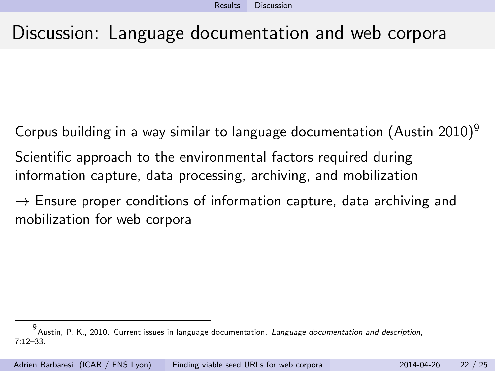### Discussion: Language documentation and web corpora

Corpus building in a way similar to language documentation (Austin 2010)<sup>9</sup> Scientific approach to the environmental factors required during information capture, data processing, archiving, and mobilization

 $\rightarrow$  Ensure proper conditions of information capture, data archiving and mobilization for web corpora

<span id="page-21-0"></span><sup>9</sup> Austin, P. K., 2010. Current issues in language documentation. Language documentation and description, 7:12–33.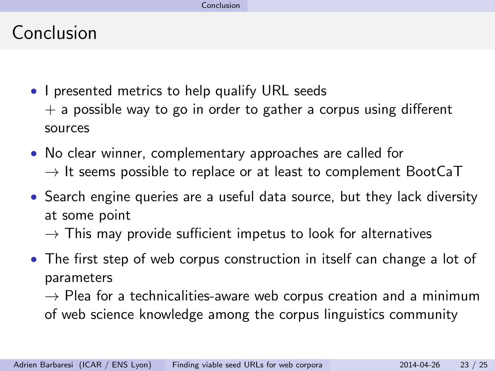## Conclusion

- I presented metrics to help qualify URL seeds  $+$  a possible way to go in order to gather a corpus using different sources
- No clear winner, complementary approaches are called for  $\rightarrow$  It seems possible to replace or at least to complement BootCaT
- Search engine queries are a useful data source, but they lack diversity at some point
	- $\rightarrow$  This may provide sufficient impetus to look for alternatives
- The first step of web corpus construction in itself can change a lot of parameters

<span id="page-22-0"></span> $\rightarrow$  Plea for a technicalities-aware web corpus creation and a minimum of web science knowledge among the corpus linguistics community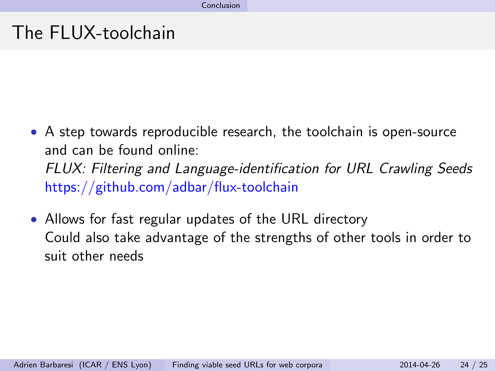### The FLUX-toolchain

- A step towards reproducible research, the toolchain is open-source and can be found online: FLUX: Filtering and Language-identification for URL Crawling Seeds https://github.com/adbar/flux-toolchain
- <span id="page-23-0"></span>• Allows for fast regular updates of the URL directory Could also take advantage of the strengths of other tools in order to suit other needs